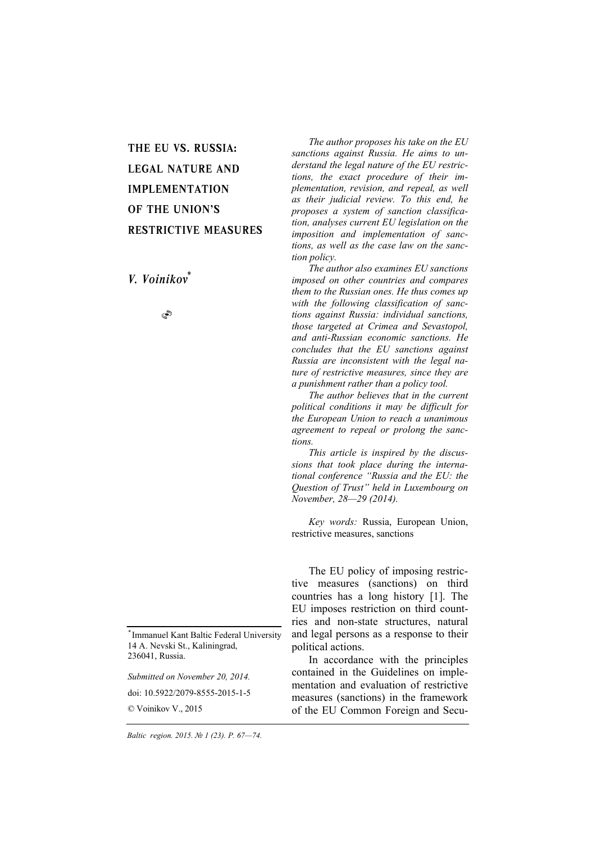## THE EU VS. RUSSIA: LEGAL NATURE AND IMPLEMENTATION OF THE UNION'S RESTRICTIVE MEASURES

*V. Voinikov\**

 $\odot$ 

*The author proposes his take on the EU sanctions against Russia. He aims to understand the legal nature of the EU restrictions, the exact procedure of their implementation, revision, and repeal, as well as their judicial review. To this end, he proposes a system of sanction classification, analyses current EU legislation on the imposition and implementation of sanctions, as well as the case law on the sanction policy.* 

*The author also examines EU sanctions imposed on other countries and compares them to the Russian ones. He thus comes up with the following classification of sanctions against Russia: individual sanctions, those targeted at Crimea and Sevastopol, and anti-Russian economic sanctions. He concludes that the EU sanctions against Russia are inconsistent with the legal nature of restrictive measures, since they are a punishment rather than a policy tool.* 

*The author believes that in the current political conditions it may be difficult for the European Union to reach a unanimous agreement to repeal or prolong the sanctions.* 

*This article is inspired by the discussions that took place during the international conference "Russia and the EU: the Question of Trust" held in Luxembourg on November, 28—29 (2014).* 

*Key words:* Russia, European Union, restrictive measures, sanctions

The EU policy of imposing restrictive measures (sanctions) on third countries has a long history [1]. The EU imposes restriction on third countries and non-state structures, natural and legal persons as a response to their political actions.

In accordance with the principles contained in the Guidelines on implementation and evaluation of restrictive measures (sanctions) in the framework of the EU Common Foreign and Secu-

*<sup>\*</sup>* Immanuel Kant Baltic Federal University 14 A. Nevski St., Kaliningrad, 236041, Russia.

*Submitted on November 20, 2014.*  doi: 10.5922/2079-8555-2015-1-5 © Voinikov V., 2015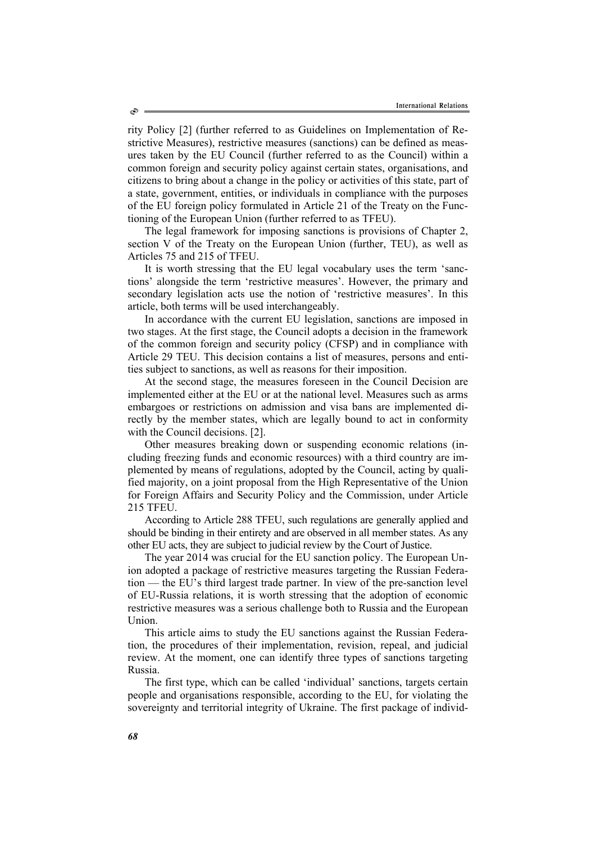rity Policy [2] (further referred to as Guidelines on Implementation of Restrictive Measures), restrictive measures (sanctions) can be defined as measures taken by the EU Council (further referred to as the Council) within a common foreign and security policy against certain states, organisations, and citizens to bring about a change in the policy or activities of this state, part of a state, government, entities, or individuals in compliance with the purposes of the EU foreign policy formulated in Article 21 of the Treaty on the Functioning of the European Union (further referred to as TFEU).

The legal framework for imposing sanctions is provisions of Chapter 2, section V of the Treaty on the European Union (further, TEU), as well as Articles 75 and 215 of TFEU.

It is worth stressing that the EU legal vocabulary uses the term 'sanctions' alongside the term 'restrictive measures'. However, the primary and secondary legislation acts use the notion of 'restrictive measures'. In this article, both terms will be used interchangeably.

In accordance with the current EU legislation, sanctions are imposed in two stages. At the first stage, the Council adopts a decision in the framework of the common foreign and security policy (CFSP) and in compliance with Article 29 TEU. This decision contains a list of measures, persons and entities subject to sanctions, as well as reasons for their imposition.

At the second stage, the measures foreseen in the Council Decision are implemented either at the EU or at the national level. Measures such as arms embargoes or restrictions on admission and visa bans are implemented directly by the member states, which are legally bound to act in conformity with the Council decisions. [2].

Other measures breaking down or suspending economic relations (including freezing funds and economic resources) with a third country are implemented by means of regulations, adopted by the Council, acting by qualified majority, on a joint proposal from the High Representative of the Union for Foreign Affairs and Security Policy and the Commission, under Article 215 TFEU.

According to Article 288 TFEU, such regulations are generally applied and should be binding in their entirety and are observed in all member states. As any other EU acts, they are subject to judicial review by the Court of Justice.

The year 2014 was crucial for the EU sanction policy. The European Union adopted a package of restrictive measures targeting the Russian Federation — the EU's third largest trade partner. In view of the pre-sanction level of EU-Russia relations, it is worth stressing that the adoption of economic restrictive measures was a serious challenge both to Russia and the European Union.

This article aims to study the EU sanctions against the Russian Federation, the procedures of their implementation, revision, repeal, and judicial review. At the moment, one can identify three types of sanctions targeting Russia.

The first type, which can be called 'individual' sanctions, targets certain people and organisations responsible, according to the EU, for violating the sovereignty and territorial integrity of Ukraine. The first package of individ-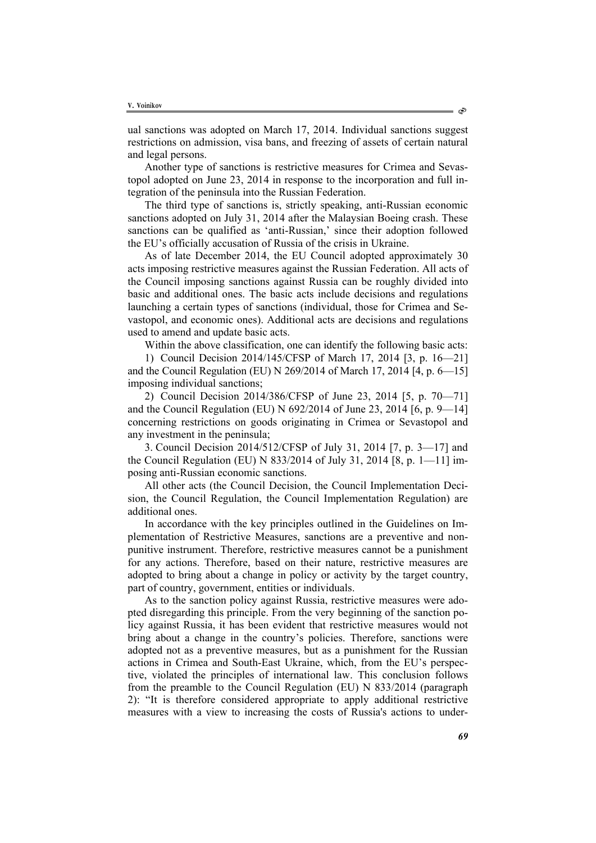ual sanctions was adopted on March 17, 2014. Individual sanctions suggest restrictions on admission, visa bans, and freezing of assets of certain natural and legal persons.

Another type of sanctions is restrictive measures for Crimea and Sevastopol adopted on June 23, 2014 in response to the incorporation and full integration of the peninsula into the Russian Federation.

The third type of sanctions is, strictly speaking, anti-Russian economic sanctions adopted on July 31, 2014 after the Malaysian Boeing crash. These sanctions can be qualified as 'anti-Russian,' since their adoption followed the EU's officially accusation of Russia of the crisis in Ukraine.

As of late December 2014, the EU Council adopted approximately 30 acts imposing restrictive measures against the Russian Federation. All acts of the Council imposing sanctions against Russia can be roughly divided into basic and additional ones. The basic acts include decisions and regulations launching a certain types of sanctions (individual, those for Crimea and Sevastopol, and economic ones). Additional acts are decisions and regulations used to amend and update basic acts.

Within the above classification, one can identify the following basic acts:

1) Council Decision 2014/145/CFSP of March 17, 2014 [3, р. 16—21] and the Council Regulation (EU) N 269/2014 of March 17, 2014 [4, р. 6—15] imposing individual sanctions;

2) Council Decision 2014/386/CFSP of June 23, 2014 [5, р. 70—71] and the Council Regulation (EU) N 692/2014 of June 23, 2014 [6, р. 9—14] concerning restrictions on goods originating in Crimea or Sevastopol and any investment in the peninsula;

3. Council Decision 2014/512/CFSP of July 31, 2014 [7, р. 3—17] and the Council Regulation (EU) N 833/2014 of July 31, 2014 [8, р. 1—11] imposing anti-Russian economic sanctions.

All other acts (the Council Decision, the Council Implementation Decision, the Council Regulation, the Council Implementation Regulation) are additional ones.

In accordance with the key principles outlined in the Guidelines on Implementation of Restrictive Measures, sanctions are a preventive and nonpunitive instrument. Therefore, restrictive measures cannot be a punishment for any actions. Therefore, based on their nature, restrictive measures are adopted to bring about a change in policy or activity by the target country, part of country, government, entities or individuals.

As to the sanction policy against Russia, restrictive measures were adopted disregarding this principle. From the very beginning of the sanction policy against Russia, it has been evident that restrictive measures would not bring about a change in the country's policies. Therefore, sanctions were adopted not as a preventive measures, but as a punishment for the Russian actions in Crimea and South-East Ukraine, which, from the EU's perspective, violated the principles of international law. This conclusion follows from the preamble to the Council Regulation (EU) N 833/2014 (paragraph 2): "It is therefore considered appropriate to apply additional restrictive measures with a view to increasing the costs of Russia's actions to under-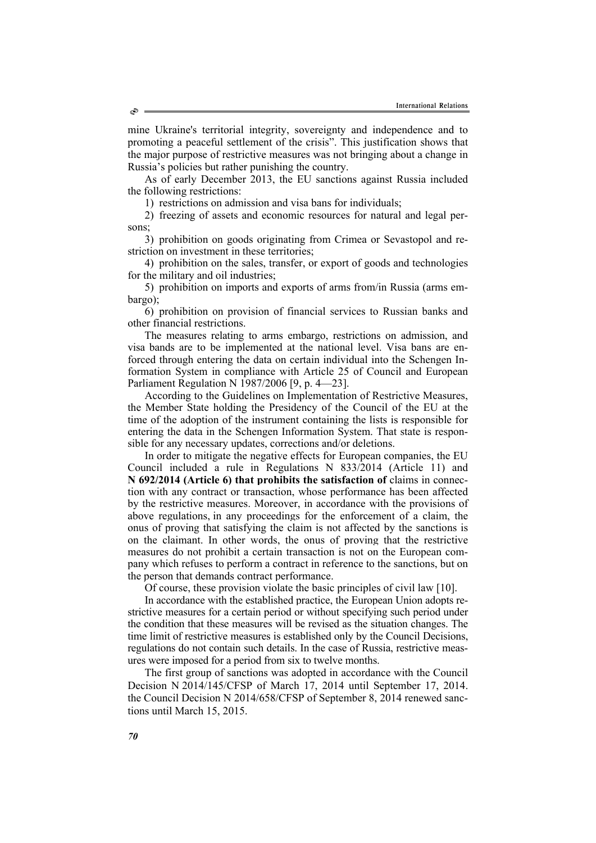mine Ukraine's territorial integrity, sovereignty and independence and to promoting a peaceful settlement of the crisis". This justification shows that the major purpose of restrictive measures was not bringing about a change in Russia's policies but rather punishing the country.

As of early December 2013, the EU sanctions against Russia included the following restrictions:

1) restrictions on admission and visa bans for individuals;

2) freezing of assets and economic resources for natural and legal persons;

3) prohibition on goods originating from Crimea or Sevastopol and restriction on investment in these territories;

4) prohibition on the sales, transfer, or export of goods and technologies for the military and oil industries;

5) prohibition on imports and exports of arms from/in Russia (arms embargo);

6) prohibition on provision of financial services to Russian banks and other financial restrictions.

The measures relating to arms embargo, restrictions on admission, and visa bands are to be implemented at the national level. Visa bans are enforced through entering the data on certain individual into the Schengen Information System in compliance with Article 25 of Council and European Parliament Regulation N 1987/2006 [9, р. 4—23].

According to the Guidelines on Implementation of Restrictive Measures, the Member State holding the Presidency of the Council of the EU at the time of the adoption of the instrument containing the lists is responsible for entering the data in the Schengen Information System. That state is responsible for any necessary updates, corrections and/or deletions.

In order to mitigate the negative effects for European companies, the EU Council included a rule in Regulations N 833/2014 (Article 11) and **N 692/2014 (Article 6) that prohibits the satisfaction of** claims in connection with any contract or transaction, whose performance has been affected by the restrictive measures. Moreover, in accordance with the provisions of above regulations, in any proceedings for the enforcement of a claim, the onus of proving that satisfying the claim is not affected by the sanctions is on the claimant. In other words, the onus of proving that the restrictive measures do not prohibit a certain transaction is not on the European company which refuses to perform a contract in reference to the sanctions, but on the person that demands contract performance.

Of course, these provision violate the basic principles of civil law [10].

In accordance with the established practice, the European Union adopts restrictive measures for a certain period or without specifying such period under the condition that these measures will be revised as the situation changes. The time limit of restrictive measures is established only by the Council Decisions, regulations do not contain such details. In the case of Russia, restrictive measures were imposed for a period from six to twelve months.

The first group of sanctions was adopted in accordance with the Council Decision N 2014/145/CFSP of March 17, 2014 until September 17, 2014. the Council Decision N 2014/658/CFSP of September 8, 2014 renewed sanctions until March 15, 2015.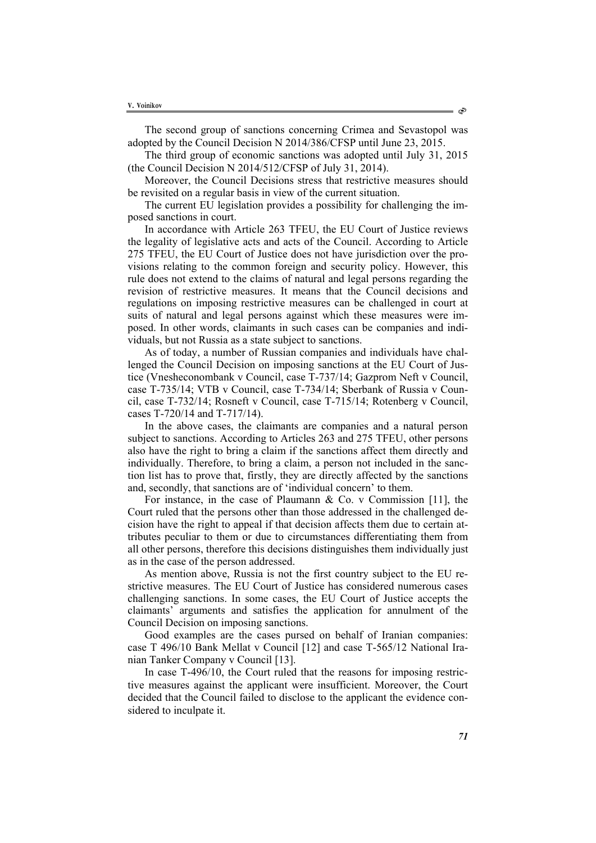The second group of sanctions concerning Crimea and Sevastopol was adopted by the Council Decision N 2014/386/CFSP until June 23, 2015.

The third group of economic sanctions was adopted until July 31, 2015 (the Council Decision N 2014/512/CFSP of July 31, 2014).

Moreover, the Council Decisions stress that restrictive measures should be revisited on a regular basis in view of the current situation.

The current EU legislation provides a possibility for challenging the imposed sanctions in court.

In accordance with Article 263 TFEU, the EU Court of Justice reviews the legality of legislative acts and acts of the Council. According to Article 275 TFEU, the EU Court of Justice does not have jurisdiction over the provisions relating to the common foreign and security policy. However, this rule does not extend to the claims of natural and legal persons regarding the revision of restrictive measures. It means that the Council decisions and regulations on imposing restrictive measures can be challenged in court at suits of natural and legal persons against which these measures were imposed. In other words, claimants in such cases can be companies and individuals, but not Russia as a state subject to sanctions.

As of today, a number of Russian companies and individuals have challenged the Council Decision on imposing sanctions at the EU Court of Justice (Vnesheconombank v Council, case T-737/14; Gazprom Neft v Council, case T-735/14; VTB v Council, case T-734/14; Sberbank of Russia v Council, case T-732/14; Rosneft v Council, case T-715/14; Rotenberg v Council, cases T-720/14 and T-717/14).

In the above cases, the claimants are companies and a natural person subject to sanctions. According to Articles 263 and 275 TFEU, other persons also have the right to bring a claim if the sanctions affect them directly and individually. Therefore, to bring a claim, a person not included in the sanction list has to prove that, firstly, they are directly affected by the sanctions and, secondly, that sanctions are of 'individual concern' to them.

For instance, in the case of Plaumann & Co. v Commission [11], the Court ruled that the persons other than those addressed in the challenged decision have the right to appeal if that decision affects them due to certain attributes peculiar to them or due to circumstances differentiating them from all other persons, therefore this decisions distinguishes them individually just as in the case of the person addressed.

As mention above, Russia is not the first country subject to the EU restrictive measures. The EU Court of Justice has considered numerous cases challenging sanctions. In some cases, the EU Court of Justice accepts the claimants' arguments and satisfies the application for annulment of the Council Decision on imposing sanctions.

Good examples are the cases pursed on behalf of Iranian companies: case T 496/10 Bank Mellat v Council [12] and case T-565/12 National Iranian Tanker Company v Council [13].

In case T-496/10, the Court ruled that the reasons for imposing restrictive measures against the applicant were insufficient. Moreover, the Court decided that the Council failed to disclose to the applicant the evidence considered to inculpate it.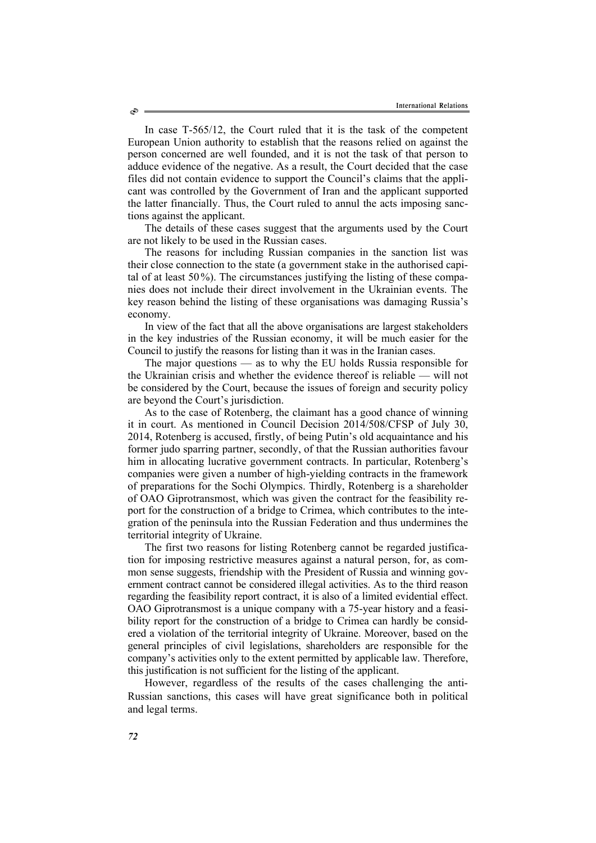In case T-565/12, the Court ruled that it is the task of the competent European Union authority to establish that the reasons relied on against the person concerned are well founded, and it is not the task of that person to adduce evidence of the negative. As a result, the Court decided that the case files did not contain evidence to support the Council's claims that the applicant was controlled by the Government of Iran and the applicant supported the latter financially. Thus, the Court ruled to annul the acts imposing sanctions against the applicant.

The details of these cases suggest that the arguments used by the Court are not likely to be used in the Russian cases.

The reasons for including Russian companies in the sanction list was their close connection to the state (a government stake in the authorised capital of at least 50%). The circumstances justifying the listing of these companies does not include their direct involvement in the Ukrainian events. The key reason behind the listing of these organisations was damaging Russia's economy.

In view of the fact that all the above organisations are largest stakeholders in the key industries of the Russian economy, it will be much easier for the Council to justify the reasons for listing than it was in the Iranian cases.

The major questions — as to why the EU holds Russia responsible for the Ukrainian crisis and whether the evidence thereof is reliable — will not be considered by the Court, because the issues of foreign and security policy are beyond the Court's jurisdiction.

As to the case of Rotenberg, the claimant has a good chance of winning it in court. As mentioned in Council Decision 2014/508/CFSP of July 30, 2014, Rotenberg is accused, firstly, of being Putin's old acquaintance and his former judo sparring partner, secondly, of that the Russian authorities favour him in allocating lucrative government contracts. In particular, Rotenberg's companies were given a number of high-yielding contracts in the framework of preparations for the Sochi Olympics. Thirdly, Rotenberg is a shareholder of OAO Giprotransmost, which was given the contract for the feasibility report for the construction of a bridge to Crimea, which contributes to the integration of the peninsula into the Russian Federation and thus undermines the territorial integrity of Ukraine.

The first two reasons for listing Rotenberg cannot be regarded justification for imposing restrictive measures against a natural person, for, as common sense suggests, friendship with the President of Russia and winning government contract cannot be considered illegal activities. As to the third reason regarding the feasibility report contract, it is also of a limited evidential effect. OAO Giprotransmost is a unique company with a 75-year history and a feasibility report for the construction of a bridge to Crimea can hardly be considered a violation of the territorial integrity of Ukraine. Moreover, based on the general principles of civil legislations, shareholders are responsible for the company's activities only to the extent permitted by applicable law. Therefore, this justification is not sufficient for the listing of the applicant.

However, regardless of the results of the cases challenging the anti-Russian sanctions, this cases will have great significance both in political and legal terms.

Ò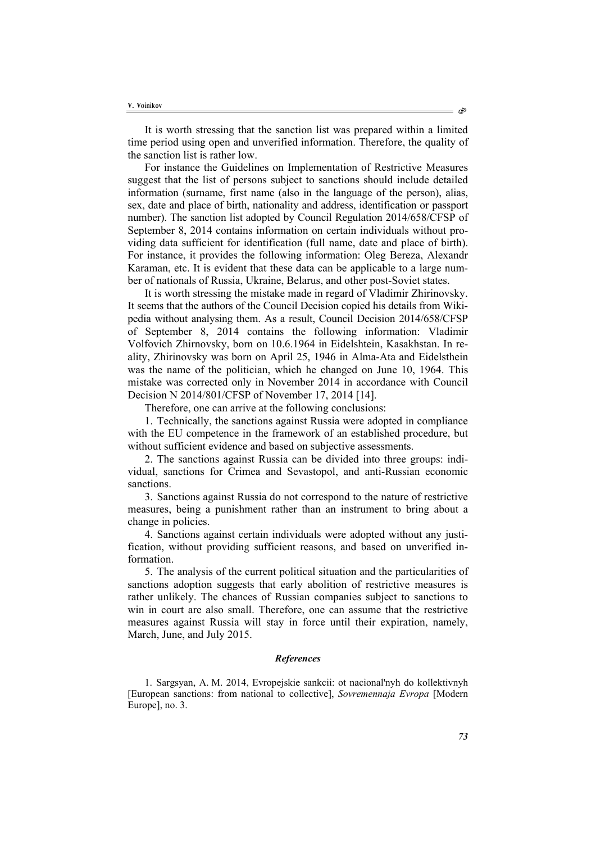It is worth stressing that the sanction list was prepared within a limited time period using open and unverified information. Therefore, the quality of the sanction list is rather low.

For instance the Guidelines on Implementation of Restrictive Measures suggest that the list of persons subject to sanctions should include detailed information (surname, first name (also in the language of the person), alias, sex, date and place of birth, nationality and address, identification or passport number). The sanction list adopted by Council Regulation 2014/658/CFSP of September 8, 2014 contains information on certain individuals without providing data sufficient for identification (full name, date and place of birth). For instance, it provides the following information: Oleg Bereza, Alexandr Karaman, etc. It is evident that these data can be applicable to a large number of nationals of Russia, Ukraine, Belarus, and other post-Soviet states.

It is worth stressing the mistake made in regard of Vladimir Zhirinovsky. It seems that the authors of the Council Decision copied his details from Wikipedia without analysing them. As a result, Council Decision 2014/658/CFSP of September 8, 2014 contains the following information: Vladimir Volfovich Zhirnovsky, born on 10.6.1964 in Eidelshtein, Kasakhstan. In reality, Zhirinovsky was born on April 25, 1946 in Alma-Ata and Eidelsthein was the name of the politician, which he changed on June 10, 1964. This mistake was corrected only in November 2014 in accordance with Council Decision N 2014/801/CFSP of November 17, 2014 [14].

Therefore, one can arrive at the following conclusions:

1. Technically, the sanctions against Russia were adopted in compliance with the EU competence in the framework of an established procedure, but without sufficient evidence and based on subjective assessments.

2. The sanctions against Russia can be divided into three groups: individual, sanctions for Crimea and Sevastopol, and anti-Russian economic sanctions.

3. Sanctions against Russia do not correspond to the nature of restrictive measures, being a punishment rather than an instrument to bring about a change in policies.

4. Sanctions against certain individuals were adopted without any justification, without providing sufficient reasons, and based on unverified information.

5. The analysis of the current political situation and the particularities of sanctions adoption suggests that early abolition of restrictive measures is rather unlikely. The chances of Russian companies subject to sanctions to win in court are also small. Therefore, one can assume that the restrictive measures against Russia will stay in force until their expiration, namely, March, June, and July 2015.

## *References*

1. Sargsyan, А. М. 2014, Evropejskie sankcii: ot nacional'nyh do kollektivnyh [European sanctions: from national to collective], *Sovremennaja Evropa* [Modern Europe], no. 3.